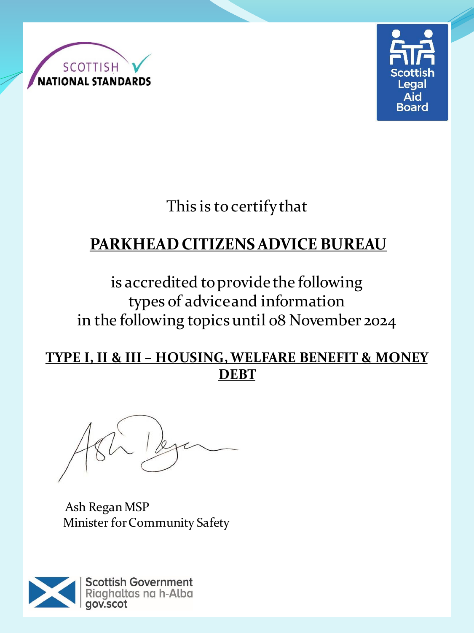



This is to certify that

# **PARKHEAD CITIZENS ADVICE BUREAU**

is accredited to provide the following types of advice and information in the following topics until 08 November 2024

#### **TYPE I, II & III – HOUSING, WELFARE BENEFIT & MONEY DEBT**

Ash Regan MSP Minister for Community Safety

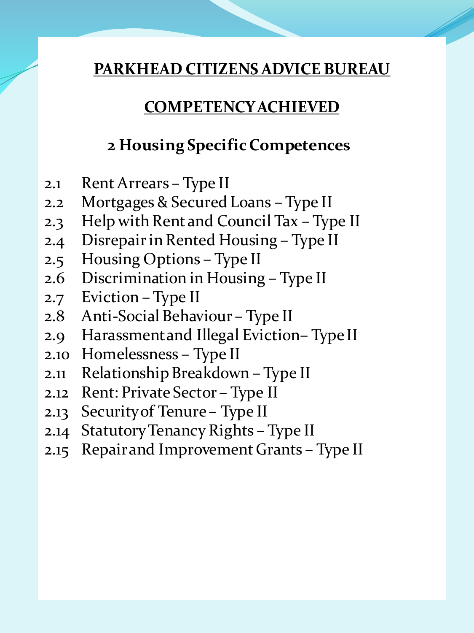### **COMPETENCY ACHIEVED**

### **2 Housing Specific Competences**

- 2.1 Rent Arrears Type II
- 2.2 Mortgages & Secured Loans Type II
- 2.3 Help with Rent and Council Tax Type II
- 2.4 Disrepair in Rented Housing Type II
- 2.5 Housing Options Type II
- 2.6 Discrimination in Housing Type II
- 2.7 Eviction Type II
- 2.8 Anti-Social Behaviour Type II
- 2.9 Harassment and Illegal Eviction– Type II
- 2.10 Homelessness Type II
- 2.11 Relationship Breakdown Type II
- 2.12 Rent: Private Sector Type II
- 2.13 Security of Tenure Type II
- 2.14 Statutory Tenancy Rights Type II
- 2.15 Repair and Improvement Grants Type II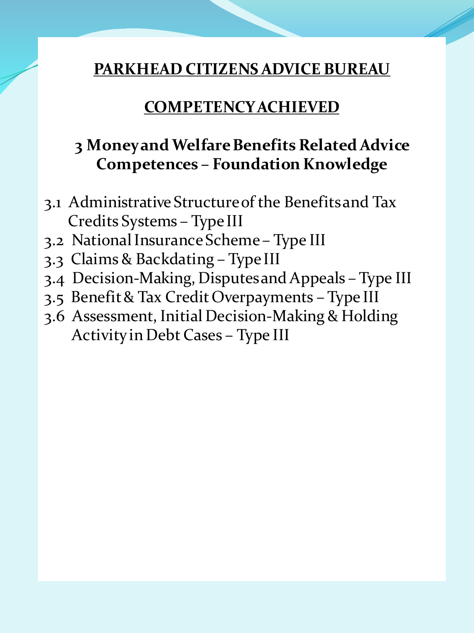#### **COMPETENCY ACHIEVED**

### **3 Money and Welfare Benefits Related Advice Competences – Foundation Knowledge**

- 3.1 Administrative Structure of the Benefits and Tax Credits Systems – Type III
- 3.2 National Insurance Scheme Type III
- 3.3 Claims & Backdating Type III
- 3.4 Decision-Making, Disputes and Appeals Type III
- 3.5 Benefit & Tax Credit Overpayments Type III
- 3.6 Assessment, Initial Decision-Making & Holding Activity in Debt Cases – Type III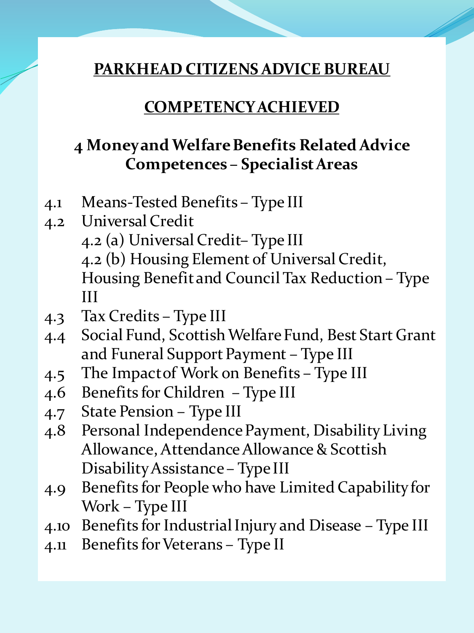#### **COMPETENCY ACHIEVED**

### **4 Money and Welfare Benefits Related Advice Competences – Specialist Areas**

- 4.1 Means-Tested Benefits Type III
- 4.2 Universal Credit 4.2 (a) Universal Credit– Type III 4.2 (b) Housing Element of Universal Credit, Housing Benefit and Council Tax Reduction – Type III
- 4.3 Tax Credits Type III
- 4.4 Social Fund, Scottish Welfare Fund, Best Start Grant and Funeral Support Payment – Type III
- 4.5 The Impact of Work on Benefits Type III
- 4.6 Benefits for Children Type III
- 4.7 State Pension Type III
- 4.8 Personal Independence Payment, Disability Living Allowance, Attendance Allowance & Scottish Disability Assistance – Type III
- 4.9 Benefits for People who have Limited Capability for Work – Type III
- 4.10 Benefits for Industrial Injury and Disease Type III
- 4.11 Benefits for Veterans Type II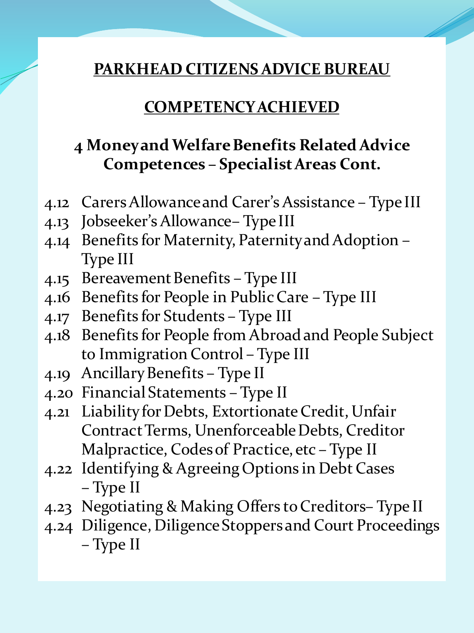#### **COMPETENCY ACHIEVED**

### **4 Money and Welfare Benefits Related Advice Competences – Specialist Areas Cont.**

- 4.12 Carers Allowance and Carer's Assistance Type III
- 4.13 Jobseeker's Allowance– Type III
- 4.14 Benefits for Maternity, Paternity and Adoption Type III
- 4.15 Bereavement Benefits Type III
- 4.16 Benefits for People in Public Care Type III
- 4.17 Benefits for Students Type III
- 4.18 Benefits for People from Abroad and People Subject to Immigration Control – Type III
- 4.19 Ancillary Benefits Type II
- 4.20 Financial Statements Type II
- 4.21 Liability for Debts, Extortionate Credit, Unfair Contract Terms, Unenforceable Debts, Creditor Malpractice, Codes of Practice, etc – Type II
- 4.22 Identifying & Agreeing Options in Debt Cases – Type II
- 4.23 Negotiating & Making Offers to Creditors– Type II
- 4.24 Diligence, Diligence Stoppers and Court Proceedings – Type II